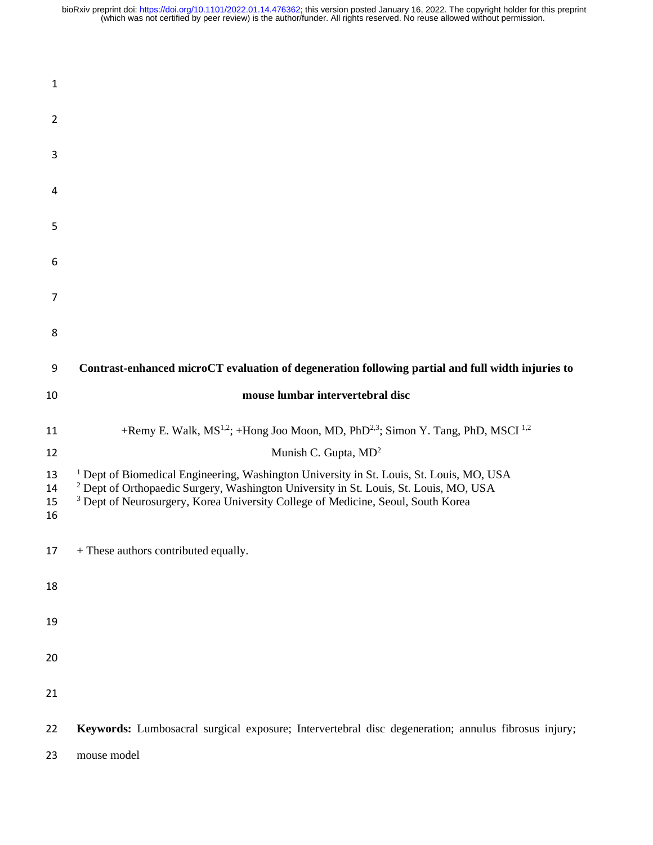| $\mathbf{1}$         |                                                                                                                                                                                                                                                                                                        |
|----------------------|--------------------------------------------------------------------------------------------------------------------------------------------------------------------------------------------------------------------------------------------------------------------------------------------------------|
| $\overline{2}$       |                                                                                                                                                                                                                                                                                                        |
| 3                    |                                                                                                                                                                                                                                                                                                        |
| 4                    |                                                                                                                                                                                                                                                                                                        |
| 5                    |                                                                                                                                                                                                                                                                                                        |
| 6                    |                                                                                                                                                                                                                                                                                                        |
| 7                    |                                                                                                                                                                                                                                                                                                        |
| 8                    |                                                                                                                                                                                                                                                                                                        |
| 9                    | Contrast-enhanced microCT evaluation of degeneration following partial and full width injuries to                                                                                                                                                                                                      |
| 10                   | mouse lumbar intervertebral disc                                                                                                                                                                                                                                                                       |
| 11                   | +Remy E. Walk, MS <sup>1,2</sup> ; +Hong Joo Moon, MD, PhD <sup>2,3</sup> ; Simon Y. Tang, PhD, MSCI <sup>1,2</sup>                                                                                                                                                                                    |
| 12                   | Munish C. Gupta, MD <sup>2</sup>                                                                                                                                                                                                                                                                       |
| 13<br>14<br>15<br>16 | <sup>1</sup> Dept of Biomedical Engineering, Washington University in St. Louis, St. Louis, MO, USA<br><sup>2</sup> Dept of Orthopaedic Surgery, Washington University in St. Louis, St. Louis, MO, USA<br><sup>3</sup> Dept of Neurosurgery, Korea University College of Medicine, Seoul, South Korea |
| 17                   | + These authors contributed equally.                                                                                                                                                                                                                                                                   |
| 18                   |                                                                                                                                                                                                                                                                                                        |
| 19                   |                                                                                                                                                                                                                                                                                                        |
| 20                   |                                                                                                                                                                                                                                                                                                        |
| 21                   |                                                                                                                                                                                                                                                                                                        |
| 22                   | Keywords: Lumbosacral surgical exposure; Intervertebral disc degeneration; annulus fibrosus injury;                                                                                                                                                                                                    |
| 23                   | mouse model                                                                                                                                                                                                                                                                                            |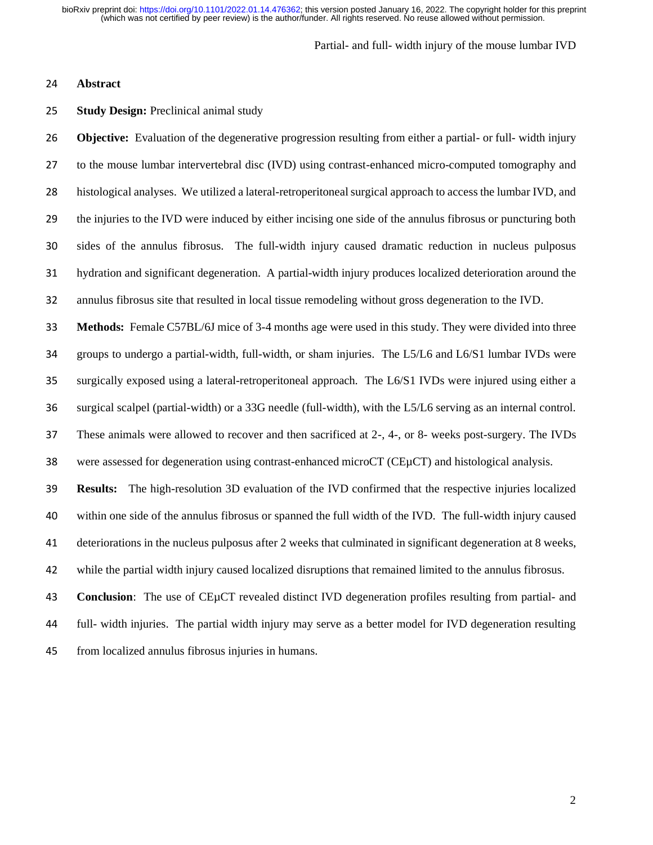### Partial- and full- width injury of the mouse lumbar IVD

## **Abstract**

## **Study Design:** Preclinical animal study

 **Objective:** Evaluation of the degenerative progression resulting from either a partial- or full- width injury to the mouse lumbar intervertebral disc (IVD) using contrast-enhanced micro-computed tomography and histological analyses. We utilized a lateral-retroperitoneal surgical approach to access the lumbar IVD, and the injuries to the IVD were induced by either incising one side of the annulus fibrosus or puncturing both sides of the annulus fibrosus. The full-width injury caused dramatic reduction in nucleus pulposus hydration and significant degeneration. A partial-width injury produces localized deterioration around the annulus fibrosus site that resulted in local tissue remodeling without gross degeneration to the IVD.

 **Methods:** Female C57BL/6J mice of 3-4 months age were used in this study. They were divided into three groups to undergo a partial-width, full-width, or sham injuries. The L5/L6 and L6/S1 lumbar IVDs were surgically exposed using a lateral-retroperitoneal approach. The L6/S1 IVDs were injured using either a surgical scalpel (partial-width) or a 33G needle (full-width), with the L5/L6 serving as an internal control. These animals were allowed to recover and then sacrificed at 2-, 4-, or 8- weeks post-surgery. The IVDs were assessed for degeneration using contrast-enhanced microCT (CEµCT) and histological analysis.

 **Results:** The high-resolution 3D evaluation of the IVD confirmed that the respective injuries localized within one side of the annulus fibrosus or spanned the full width of the IVD. The full-width injury caused deteriorations in the nucleus pulposus after 2 weeks that culminated in significant degeneration at 8 weeks, while the partial width injury caused localized disruptions that remained limited to the annulus fibrosus.

 **Conclusion**: The use of CEµCT revealed distinct IVD degeneration profiles resulting from partial- and full- width injuries. The partial width injury may serve as a better model for IVD degeneration resulting from localized annulus fibrosus injuries in humans.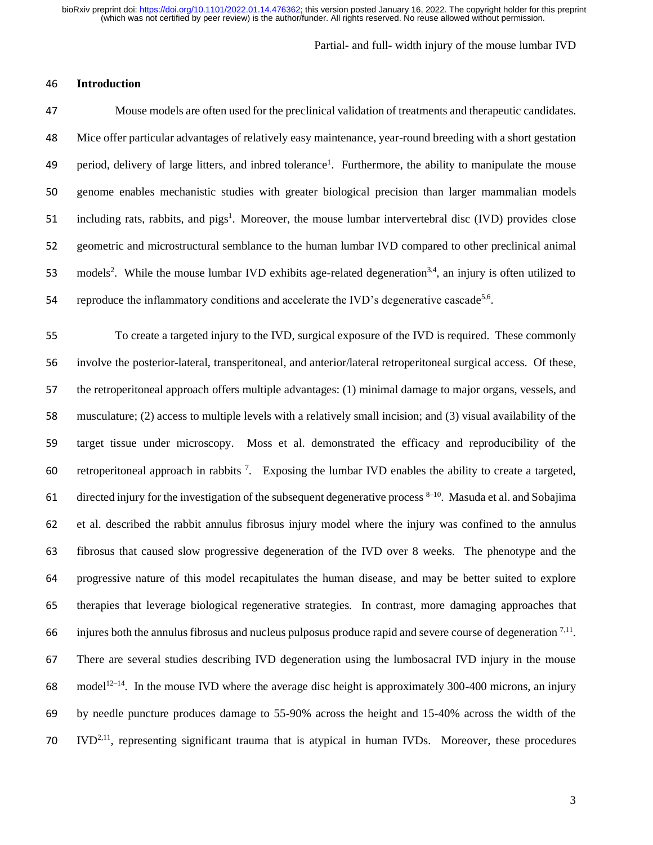Partial- and full- width injury of the mouse lumbar IVD

## 46 **Introduction**

47 Mouse models are often used for the preclinical validation of treatments and therapeutic candidates. 48 Mice offer particular advantages of relatively easy maintenance, year-round breeding with a short gestation 49 period, delivery of large litters, and inbred tolerance<sup>1</sup>. Furthermore, the ability to manipulate the mouse 50 genome enables mechanistic studies with greater biological precision than larger mammalian models 51 including rats, rabbits, and pigs<sup>1</sup>. Moreover, the mouse lumbar intervertebral disc (IVD) provides close 52 geometric and microstructural semblance to the human lumbar IVD compared to other preclinical animal 53 models<sup>2</sup>. While the mouse lumbar IVD exhibits age-related degeneration<sup>3,4</sup>, an injury is often utilized to 54 reproduce the inflammatory conditions and accelerate the IVD's degenerative cascade<sup>5,6</sup>.

 To create a targeted injury to the IVD, surgical exposure of the IVD is required. These commonly involve the posterior-lateral, transperitoneal, and anterior/lateral retroperitoneal surgical access. Of these, the retroperitoneal approach offers multiple advantages: (1) minimal damage to major organs, vessels, and musculature; (2) access to multiple levels with a relatively small incision; and (3) visual availability of the target tissue under microscopy. Moss et al. demonstrated the efficacy and reproducibility of the 60 retroperitoneal approach in rabbits<sup>7</sup>. Exposing the lumbar IVD enables the ability to create a targeted, 61 directed injury for the investigation of the subsequent degenerative process  $8-10$ . Masuda et al. and Sobajima et al. described the rabbit annulus fibrosus injury model where the injury was confined to the annulus fibrosus that caused slow progressive degeneration of the IVD over 8 weeks. The phenotype and the progressive nature of this model recapitulates the human disease, and may be better suited to explore therapies that leverage biological regenerative strategies. In contrast, more damaging approaches that 66 injures both the annulus fibrosus and nucleus pulposus produce rapid and severe course of degeneration  $7.11$ . There are several studies describing IVD degeneration using the lumbosacral IVD injury in the mouse 68 model<sup>12–14</sup>. In the mouse IVD where the average disc height is approximately 300-400 microns, an injury by needle puncture produces damage to 55-90% across the height and 15-40% across the width of the  $10^{\circ}$  IVD<sup>2,11</sup>, representing significant trauma that is atypical in human IVDs. Moreover, these procedures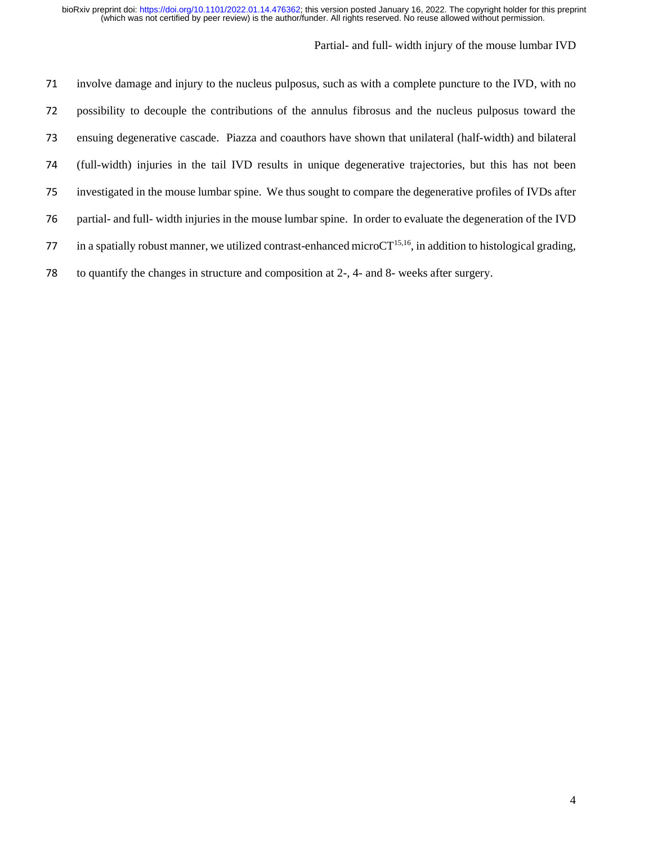| 71 | involve damage and injury to the nucleus pulposus, such as with a complete puncture to the IVD, with no               |
|----|-----------------------------------------------------------------------------------------------------------------------|
| 72 | possibility to decouple the contributions of the annulus fibrosus and the nucleus pulposus toward the                 |
| 73 | ensuing degenerative cascade. Piazza and coauthors have shown that unilateral (half-width) and bilateral              |
| 74 | (full-width) injuries in the tail IVD results in unique degenerative trajectories, but this has not been              |
| 75 | investigated in the mouse lumbar spine. We thus sought to compare the degenerative profiles of IVDs after             |
| 76 | partial- and full- width injuries in the mouse lumbar spine. In order to evaluate the degeneration of the IVD         |
| 77 | in a spatially robust manner, we utilized contrast-enhanced micro $CT^{15,16}$ , in addition to histological grading, |
| 78 | to quantify the changes in structure and composition at 2-, 4- and 8- weeks after surgery.                            |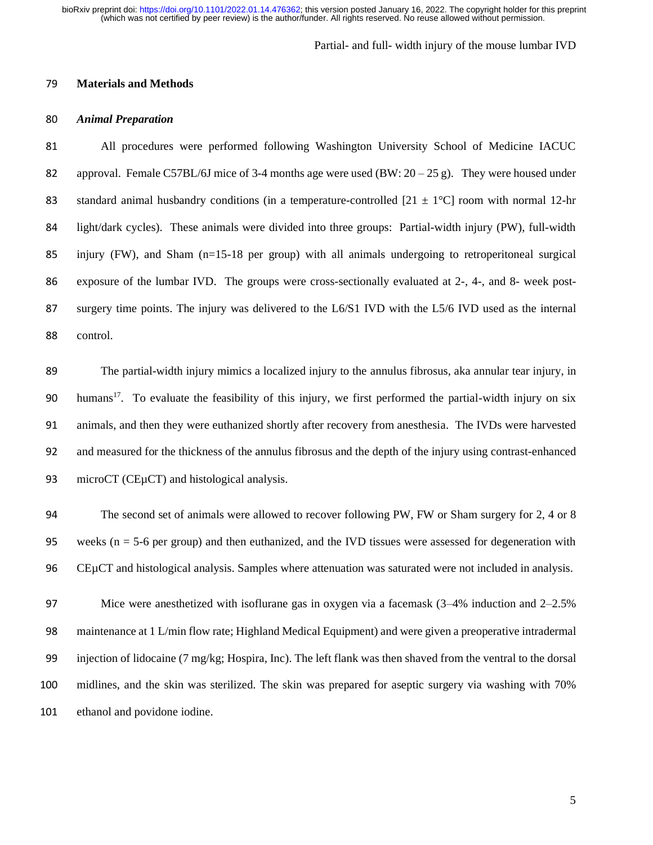### Partial- and full- width injury of the mouse lumbar IVD

## **Materials and Methods**

## *Animal Preparation*

 All procedures were performed following Washington University School of Medicine IACUC 82 approval. Female C57BL/6J mice of 3-4 months age were used  $(BW: 20-25 g)$ . They were housed under 83 standard animal husbandry conditions (in a temperature-controlled  $[21 \pm 1^{\circ}C]$  room with normal 12-hr light/dark cycles). These animals were divided into three groups: Partial-width injury (PW), full-width injury (FW), and Sham (n=15-18 per group) with all animals undergoing to retroperitoneal surgical exposure of the lumbar IVD. The groups were cross-sectionally evaluated at 2-, 4-, and 8- week post- surgery time points. The injury was delivered to the L6/S1 IVD with the L5/6 IVD used as the internal control.

 The partial-width injury mimics a localized injury to the annulus fibrosus, aka annular tear injury, in 90 humans<sup>17</sup>. To evaluate the feasibility of this injury, we first performed the partial-width injury on six animals, and then they were euthanized shortly after recovery from anesthesia. The IVDs were harvested and measured for the thickness of the annulus fibrosus and the depth of the injury using contrast-enhanced 93 microCT (CEµCT) and histological analysis.

 The second set of animals were allowed to recover following PW, FW or Sham surgery for 2, 4 or 8 95 weeks ( $n = 5-6$  per group) and then euthanized, and the IVD tissues were assessed for degeneration with CEµCT and histological analysis. Samples where attenuation was saturated were not included in analysis.

 Mice were anesthetized with isoflurane gas in oxygen via a facemask (3–4% induction and 2–2.5% maintenance at 1 L/min flow rate; Highland Medical Equipment) and were given a preoperative intradermal injection of lidocaine (7 mg/kg; Hospira, Inc). The left flank was then shaved from the ventral to the dorsal midlines, and the skin was sterilized. The skin was prepared for aseptic surgery via washing with 70% ethanol and povidone iodine.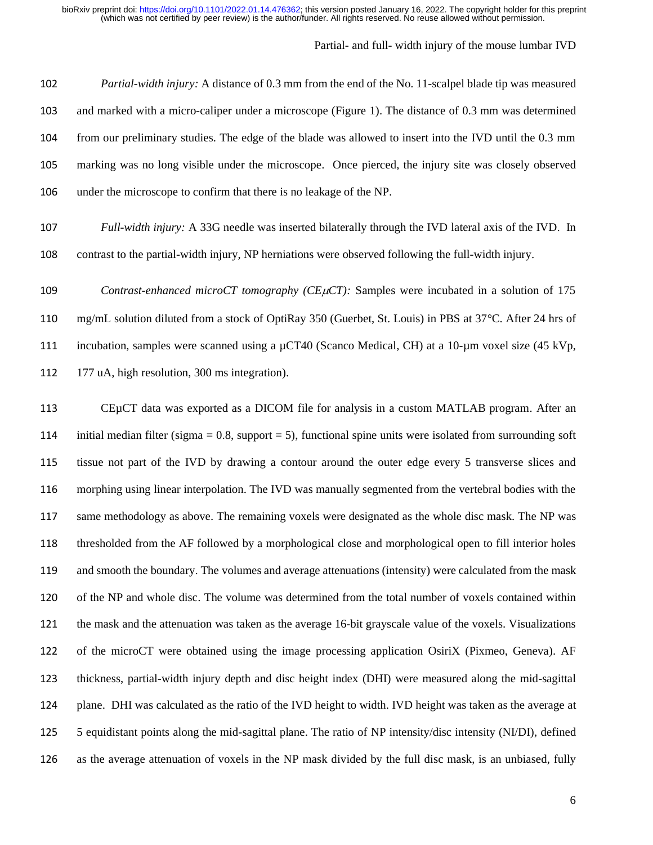# Partial- and full- width injury of the mouse lumbar IVD

 *Partial-width injury:* A distance of 0.3 mm from the end of the No. 11-scalpel blade tip was measured and marked with a micro-caliper under a microscope (Figure 1). The distance of 0.3 mm was determined from our preliminary studies. The edge of the blade was allowed to insert into the IVD until the 0.3 mm marking was no long visible under the microscope. Once pierced, the injury site was closely observed under the microscope to confirm that there is no leakage of the NP.

 *Full-width injury:* A 33G needle was inserted bilaterally through the IVD lateral axis of the IVD. In contrast to the partial-width injury, NP herniations were observed following the full-width injury.

*Contrast-enhanced microCT tomography (CEµCT):* Samples were incubated in a solution of 175 mg/mL solution diluted from a stock of OptiRay 350 (Guerbet, St. Louis) in PBS at 37°C. After 24 hrs of 111 incubation, samples were scanned using a  $\mu$ CT40 (Scanco Medical, CH) at a 10- $\mu$ m voxel size (45 kVp, 177 uA, high resolution, 300 ms integration).

 CEµCT data was exported as a DICOM file for analysis in a custom MATLAB program. After an 114 initial median filter (sigma  $= 0.8$ , support  $= 5$ ), functional spine units were isolated from surrounding soft tissue not part of the IVD by drawing a contour around the outer edge every 5 transverse slices and morphing using linear interpolation. The IVD was manually segmented from the vertebral bodies with the same methodology as above. The remaining voxels were designated as the whole disc mask. The NP was thresholded from the AF followed by a morphological close and morphological open to fill interior holes and smooth the boundary. The volumes and average attenuations (intensity) were calculated from the mask of the NP and whole disc. The volume was determined from the total number of voxels contained within the mask and the attenuation was taken as the average 16-bit grayscale value of the voxels. Visualizations of the microCT were obtained using the image processing application OsiriX (Pixmeo, Geneva). AF thickness, partial-width injury depth and disc height index (DHI) were measured along the mid-sagittal plane. DHI was calculated as the ratio of the IVD height to width. IVD height was taken as the average at 5 equidistant points along the mid-sagittal plane. The ratio of NP intensity/disc intensity (NI/DI), defined as the average attenuation of voxels in the NP mask divided by the full disc mask, is an unbiased, fully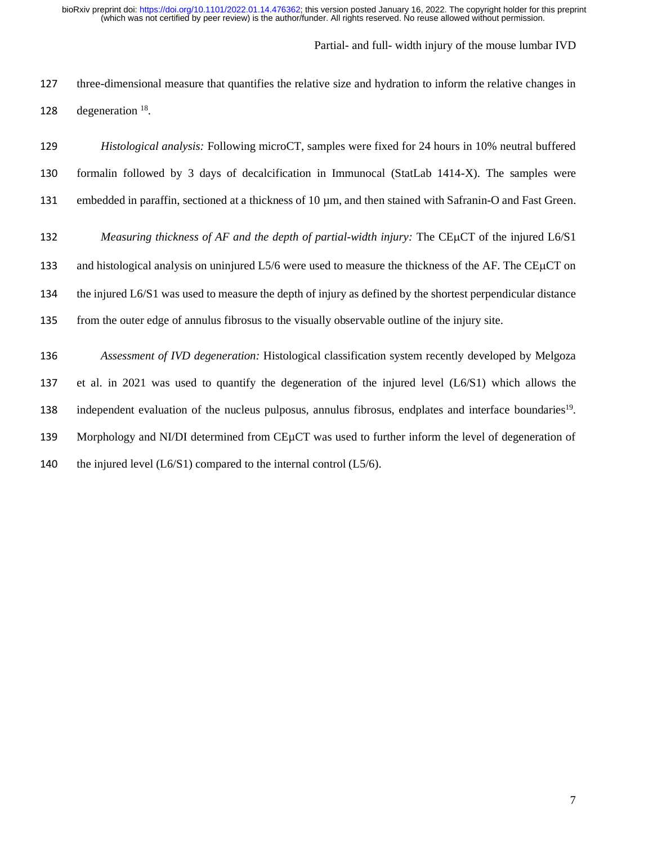Partial- and full- width injury of the mouse lumbar IVD

 three-dimensional measure that quantifies the relative size and hydration to inform the relative changes in 128 degeneration .

| 129 | <i>Histological analysis:</i> Following microCT, samples were fixed for 24 hours in 10% neutral buffered             |
|-----|----------------------------------------------------------------------------------------------------------------------|
| 130 | formalin followed by 3 days of decalcification in Immunocal (StatLab 1414-X). The samples were                       |
| 131 | embedded in paraffin, sectioned at a thickness of 10 $\mu$ m, and then stained with Safranin-O and Fast Green.       |
| 132 | Measuring thickness of AF and the depth of partial-width injury: The CEµCT of the injured L6/S1                      |
| 133 | and histological analysis on uninjured L5/6 were used to measure the thickness of the AF. The CEµCT on               |
| 134 | the injured L6/S1 was used to measure the depth of injury as defined by the shortest perpendicular distance          |
| 135 | from the outer edge of annulus fibrosus to the visually observable outline of the injury site.                       |
| 136 | Assessment of IVD degeneration: Histological classification system recently developed by Melgoza                     |
| 137 | et al. in 2021 was used to quantify the degeneration of the injured level $(L6/S1)$ which allows the                 |
| 138 | independent evaluation of the nucleus pulposus, annulus fibrosus, endplates and interface boundaries <sup>19</sup> . |
| 139 | Morphology and NI/DI determined from CEµCT was used to further inform the level of degeneration of                   |
| 140 | the injured level $(L6/S1)$ compared to the internal control $(L5/6)$ .                                              |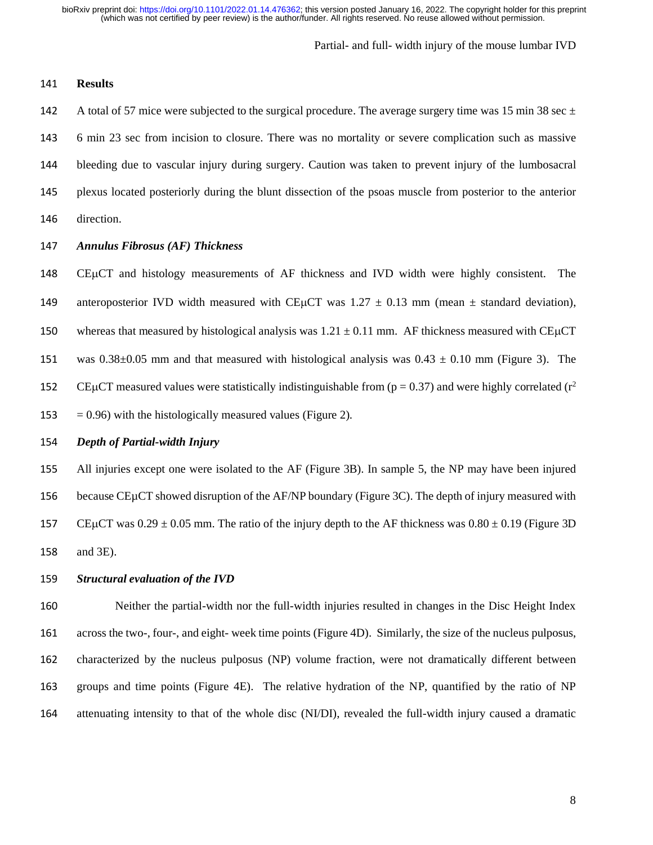Partial- and full- width injury of the mouse lumbar IVD

## **Results**

142 A total of 57 mice were subjected to the surgical procedure. The average surgery time was 15 min 38 sec  $\pm$  6 min 23 sec from incision to closure. There was no mortality or severe complication such as massive bleeding due to vascular injury during surgery. Caution was taken to prevent injury of the lumbosacral plexus located posteriorly during the blunt dissection of the psoas muscle from posterior to the anterior direction.

# *Annulus Fibrosus (AF) Thickness*

148 CEUCT and histology measurements of AF thickness and IVD width were highly consistent. The 149 anteroposterior IVD width measured with CE $\mu$ CT was 1.27  $\pm$  0.13 mm (mean  $\pm$  standard deviation), 150 whereas that measured by histological analysis was  $1.21 \pm 0.11$  mm. AF thickness measured with CE $\mu$ CT 151 was  $0.38\pm0.05$  mm and that measured with histological analysis was  $0.43 \pm 0.10$  mm (Figure 3). The 152 CEµCT measured values were statistically indistinguishable from ( $p = 0.37$ ) and were highly correlated ( $r^2$ 153  $= 0.96$ ) with the histologically measured values (Figure 2).

# *Depth of Partial-width Injury*

 All injuries except one were isolated to the AF (Figure 3B). In sample 5, the NP may have been injured because CEµCT showed disruption of the AF/NP boundary (Figure 3C). The depth of injury measured with 157 CEµCT was  $0.29 \pm 0.05$  mm. The ratio of the injury depth to the AF thickness was  $0.80 \pm 0.19$  (Figure 3D) and 3E).

#### *Structural evaluation of the IVD*

 Neither the partial-width nor the full-width injuries resulted in changes in the Disc Height Index across the two-, four-, and eight- week time points (Figure 4D). Similarly, the size of the nucleus pulposus, characterized by the nucleus pulposus (NP) volume fraction, were not dramatically different between groups and time points (Figure 4E). The relative hydration of the NP, quantified by the ratio of NP attenuating intensity to that of the whole disc (NI/DI), revealed the full-width injury caused a dramatic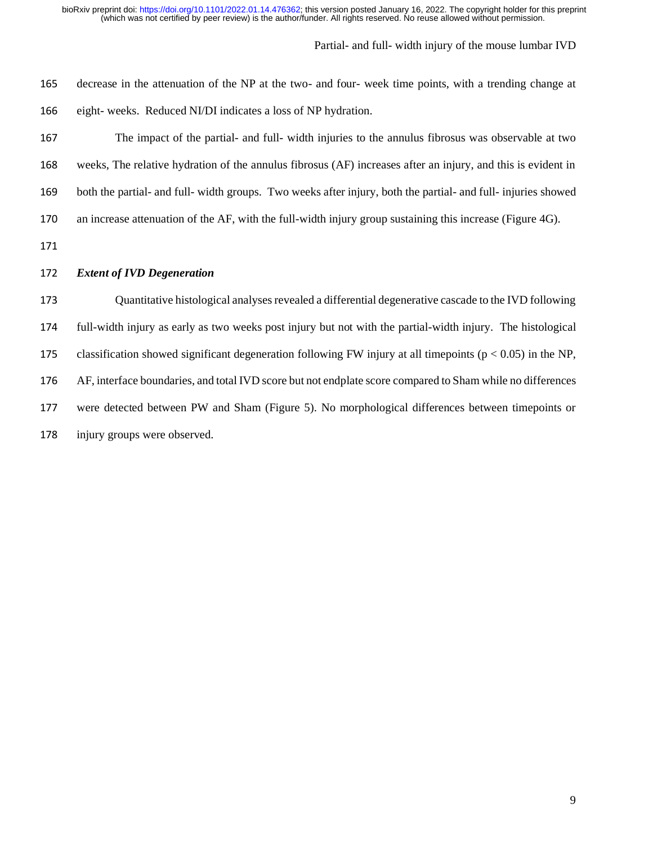# Partial- and full- width injury of the mouse lumbar IVD

| 165 | decrease in the attenuation of the NP at the two- and four- week time points, with a trending change at        |
|-----|----------------------------------------------------------------------------------------------------------------|
| 166 | eight-weeks. Reduced NI/DI indicates a loss of NP hydration.                                                   |
| 167 | The impact of the partial- and full- width injuries to the annulus fibrosus was observable at two              |
| 168 | weeks, The relative hydration of the annulus fibrosus (AF) increases after an injury, and this is evident in   |
| 169 | both the partial- and full- width groups. Two weeks after injury, both the partial- and full- injuries showed  |
| 170 | an increase attenuation of the AF, with the full-width injury group sustaining this increase (Figure 4G).      |
| 171 |                                                                                                                |
|     |                                                                                                                |
| 172 | <b>Extent of IVD Degeneration</b>                                                                              |
| 173 | Quantitative histological analyses revealed a differential degenerative cascade to the IVD following           |
| 174 | full-width injury as early as two weeks post injury but not with the partial-width injury. The histological    |
| 175 | classification showed significant degeneration following FW injury at all timepoints ( $p < 0.05$ ) in the NP, |
| 176 | AF, interface boundaries, and total IVD score but not endplate score compared to Sham while no differences     |
| 177 | were detected between PW and Sham (Figure 5). No morphological differences between timepoints or               |

injury groups were observed.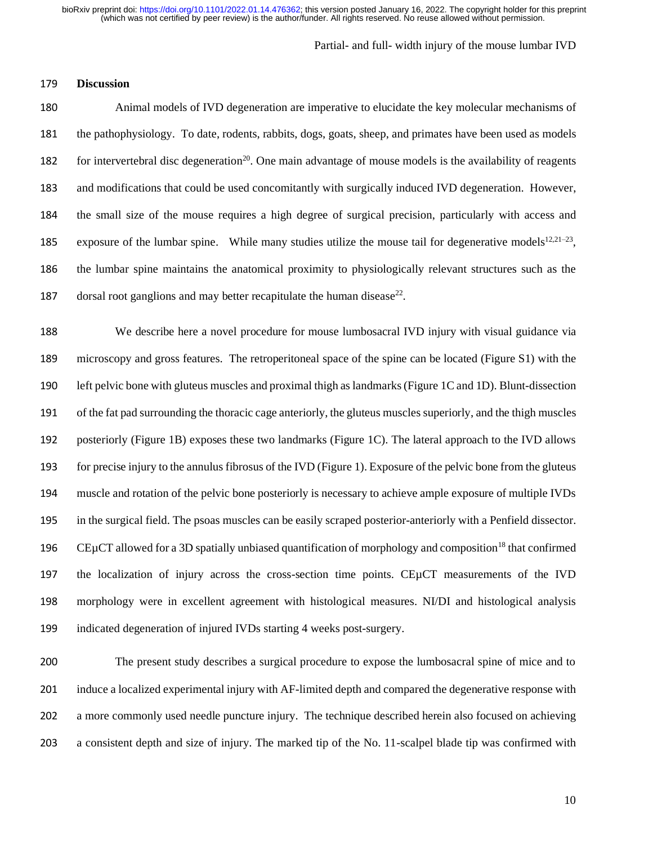Partial- and full- width injury of the mouse lumbar IVD

## **Discussion**

 Animal models of IVD degeneration are imperative to elucidate the key molecular mechanisms of the pathophysiology. To date, rodents, rabbits, dogs, goats, sheep, and primates have been used as models 182 for intervertebral disc degeneration<sup>20</sup>. One main advantage of mouse models is the availability of reagents and modifications that could be used concomitantly with surgically induced IVD degeneration. However, the small size of the mouse requires a high degree of surgical precision, particularly with access and 185 exposure of the lumbar spine. While many studies utilize the mouse tail for degenerative models<sup>12,21-23</sup>, the lumbar spine maintains the anatomical proximity to physiologically relevant structures such as the 187 dorsal root ganglions and may better recapitulate the human disease<sup>22</sup>.

 We describe here a novel procedure for mouse lumbosacral IVD injury with visual guidance via microscopy and gross features. The retroperitoneal space of the spine can be located (Figure S1) with the left pelvic bone with gluteus muscles and proximal thigh as landmarks(Figure 1C and 1D). Blunt-dissection of the fat pad surrounding the thoracic cage anteriorly, the gluteus muscles superiorly, and the thigh muscles posteriorly (Figure 1B) exposes these two landmarks (Figure 1C). The lateral approach to the IVD allows for precise injury to the annulus fibrosus of the IVD (Figure 1). Exposure of the pelvic bone from the gluteus muscle and rotation of the pelvic bone posteriorly is necessary to achieve ample exposure of multiple IVDs in the surgical field. The psoas muscles can be easily scraped posterior-anteriorly with a Penfield dissector. 196 CEµCT allowed for a 3D spatially unbiased quantification of morphology and composition<sup>18</sup> that confirmed the localization of injury across the cross-section time points. CEµCT measurements of the IVD morphology were in excellent agreement with histological measures. NI/DI and histological analysis indicated degeneration of injured IVDs starting 4 weeks post-surgery.

 The present study describes a surgical procedure to expose the lumbosacral spine of mice and to induce a localized experimental injury with AF-limited depth and compared the degenerative response with a more commonly used needle puncture injury. The technique described herein also focused on achieving a consistent depth and size of injury. The marked tip of the No. 11-scalpel blade tip was confirmed with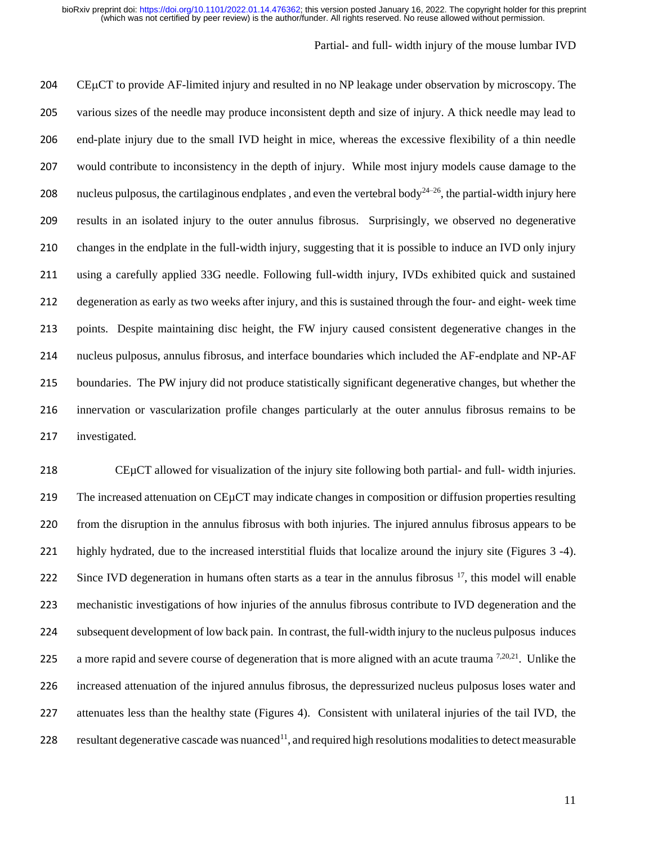# Partial- and full- width injury of the mouse lumbar IVD

204 CEµCT to provide AF-limited injury and resulted in no NP leakage under observation by microscopy. The various sizes of the needle may produce inconsistent depth and size of injury. A thick needle may lead to end-plate injury due to the small IVD height in mice, whereas the excessive flexibility of a thin needle would contribute to inconsistency in the depth of injury. While most injury models cause damage to the 208 nucleus pulposus, the cartilaginous endplates, and even the vertebral body<sup>24–26</sup>, the partial-width injury here results in an isolated injury to the outer annulus fibrosus. Surprisingly, we observed no degenerative changes in the endplate in the full-width injury, suggesting that it is possible to induce an IVD only injury using a carefully applied 33G needle. Following full-width injury, IVDs exhibited quick and sustained degeneration as early as two weeks after injury, and this is sustained through the four- and eight- week time points. Despite maintaining disc height, the FW injury caused consistent degenerative changes in the nucleus pulposus, annulus fibrosus, and interface boundaries which included the AF-endplate and NP-AF boundaries. The PW injury did not produce statistically significant degenerative changes, but whether the innervation or vascularization profile changes particularly at the outer annulus fibrosus remains to be investigated.

 CEµCT allowed for visualization of the injury site following both partial- and full- width injuries. The increased attenuation on CEµCT may indicate changes in composition or diffusion properties resulting from the disruption in the annulus fibrosus with both injuries. The injured annulus fibrosus appears to be highly hydrated, due to the increased interstitial fluids that localize around the injury site (Figures 3 -4). 222 Since IVD degeneration in humans often starts as a tear in the annulus fibrosus , this model will enable mechanistic investigations of how injuries of the annulus fibrosus contribute to IVD degeneration and the subsequent development of low back pain. In contrast, the full-width injury to the nucleus pulposus induces 225 a more rapid and severe course of degeneration that is more aligned with an acute trauma  $^{7,20,21}$ . Unlike the increased attenuation of the injured annulus fibrosus, the depressurized nucleus pulposus loses water and attenuates less than the healthy state (Figures 4). Consistent with unilateral injuries of the tail IVD, the 228 resultant degenerative cascade was nuanced<sup>11</sup>, and required high resolutions modalities to detect measurable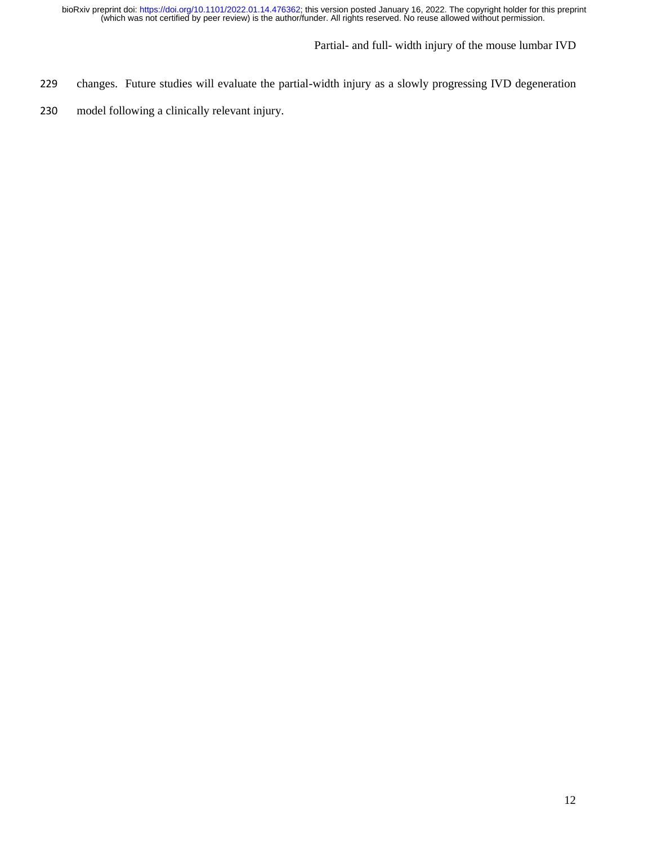- 229 changes. Future studies will evaluate the partial-width injury as a slowly progressing IVD degeneration
- 230 model following a clinically relevant injury.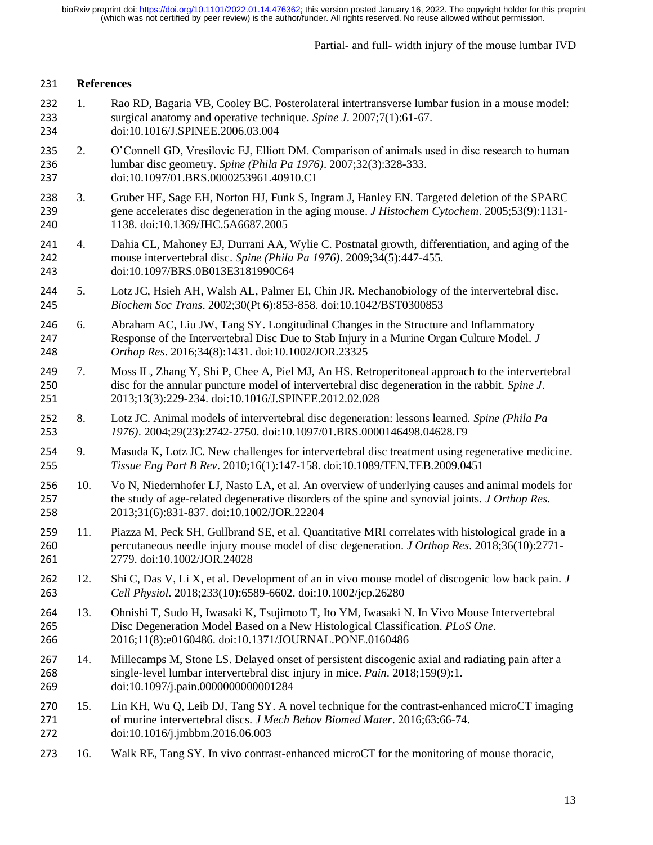Partial- and full- width injury of the mouse lumbar IVD

# **References**

- 232 1. Rao RD, Bagaria VB, Cooley BC. Posterolateral intertransverse lumbar fusion in a mouse model:<br>233 surgical anatomy and operative technique. Spine J. 2007;7(1):61-67. surgical anatomy and operative technique. *Spine J*. 2007;7(1):61-67. doi:10.1016/J.SPINEE.2006.03.004
- 235 2. O'Connell GD, Vresilovic EJ, Elliott DM. Comparison of animals used in disc research to human lumbar disc geometry. *Spine (Phila Pa 1976)*. 2007;32(3):328-333. doi:10.1097/01.BRS.0000253961.40910.C1
- 3. Gruber HE, Sage EH, Norton HJ, Funk S, Ingram J, Hanley EN. Targeted deletion of the SPARC gene accelerates disc degeneration in the aging mouse. *J Histochem Cytochem*. 2005;53(9):1131- 1138. doi:10.1369/JHC.5A6687.2005
- 241 4. Dahia CL, Mahoney EJ, Durrani AA, Wylie C. Postnatal growth, differentiation, and aging of the mouse intervertebral disc. Spine (Phila Pa 1976). 2009;34(5):447-455. mouse intervertebral disc. *Spine (Phila Pa 1976)*. 2009;34(5):447-455. doi:10.1097/BRS.0B013E3181990C64
- 5. Lotz JC, Hsieh AH, Walsh AL, Palmer EI, Chin JR. Mechanobiology of the intervertebral disc. *Biochem Soc Trans*. 2002;30(Pt 6):853-858. doi:10.1042/BST0300853
- 6. Abraham AC, Liu JW, Tang SY. Longitudinal Changes in the Structure and Inflammatory Response of the Intervertebral Disc Due to Stab Injury in a Murine Organ Culture Model. *J Orthop Res*. 2016;34(8):1431. doi:10.1002/JOR.23325
- 7. Moss IL, Zhang Y, Shi P, Chee A, Piel MJ, An HS. Retroperitoneal approach to the intervertebral disc for the annular puncture model of intervertebral disc degeneration in the rabbit. *Spine J*. 2013;13(3):229-234. doi:10.1016/J.SPINEE.2012.02.028
- 8. Lotz JC. Animal models of intervertebral disc degeneration: lessons learned. *Spine (Phila Pa 1976)*. 2004;29(23):2742-2750. doi:10.1097/01.BRS.0000146498.04628.F9
- 9. Masuda K, Lotz JC. New challenges for intervertebral disc treatment using regenerative medicine. *Tissue Eng Part B Rev*. 2010;16(1):147-158. doi:10.1089/TEN.TEB.2009.0451
- 10. Vo N, Niedernhofer LJ, Nasto LA, et al. An overview of underlying causes and animal models for the study of age-related degenerative disorders of the spine and synovial joints. *J Orthop Res*. 2013;31(6):831-837. doi:10.1002/JOR.22204
- 11. Piazza M, Peck SH, Gullbrand SE, et al. Quantitative MRI correlates with histological grade in a percutaneous needle injury mouse model of disc degeneration. *J Orthop Res*. 2018;36(10):2771- 2779. doi:10.1002/JOR.24028
- 12. Shi C, Das V, Li X, et al. Development of an in vivo mouse model of discogenic low back pain. *J Cell Physiol*. 2018;233(10):6589-6602. doi:10.1002/jcp.26280
- 13. Ohnishi T, Sudo H, Iwasaki K, Tsujimoto T, Ito YM, Iwasaki N. In Vivo Mouse Intervertebral Disc Degeneration Model Based on a New Histological Classification. *PLoS One*. 2016;11(8):e0160486. doi:10.1371/JOURNAL.PONE.0160486
- 14. Millecamps M, Stone LS. Delayed onset of persistent discogenic axial and radiating pain after a single-level lumbar intervertebral disc injury in mice. *Pain*. 2018;159(9):1. doi:10.1097/j.pain.0000000000001284
- 15. Lin KH, Wu Q, Leib DJ, Tang SY. A novel technique for the contrast-enhanced microCT imaging of murine intervertebral discs. *J Mech Behav Biomed Mater*. 2016;63:66-74. doi:10.1016/j.jmbbm.2016.06.003
- 16. Walk RE, Tang SY. In vivo contrast-enhanced microCT for the monitoring of mouse thoracic,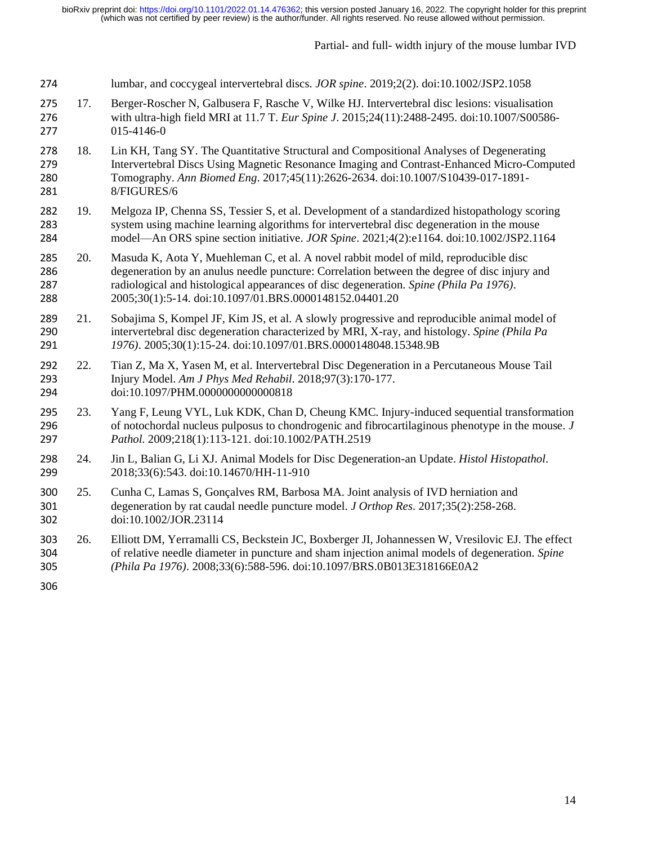Partial- and full- width injury of the mouse lumbar IVD

- lumbar, and coccygeal intervertebral discs. *JOR spine*. 2019;2(2). doi:10.1002/JSP2.1058
- 275 17. Berger-Roscher N, Galbusera F, Rasche V, Wilke HJ. Intervertebral disc lesions: visualisation<br>276 with ultra-high field MRI at 11.7 T. *Eur Spine J*. 2015;24(11):2488-2495. doi:10.1007/S00586 with ultra-high field MRI at 11.7 T. *Eur Spine J*. 2015;24(11):2488-2495. doi:10.1007/S00586- 015-4146-0
- 18. Lin KH, Tang SY. The Quantitative Structural and Compositional Analyses of Degenerating Intervertebral Discs Using Magnetic Resonance Imaging and Contrast-Enhanced Micro-Computed Tomography. *Ann Biomed Eng*. 2017;45(11):2626-2634. doi:10.1007/S10439-017-1891- 8/FIGURES/6
- 19. Melgoza IP, Chenna SS, Tessier S, et al. Development of a standardized histopathology scoring system using machine learning algorithms for intervertebral disc degeneration in the mouse model—An ORS spine section initiative. *JOR Spine*. 2021;4(2):e1164. doi:10.1002/JSP2.1164
- 20. Masuda K, Aota Y, Muehleman C, et al. A novel rabbit model of mild, reproducible disc degeneration by an anulus needle puncture: Correlation between the degree of disc injury and radiological and histological appearances of disc degeneration. *Spine (Phila Pa 1976)*. 2005;30(1):5-14. doi:10.1097/01.BRS.0000148152.04401.20
- 21. Sobajima S, Kompel JF, Kim JS, et al. A slowly progressive and reproducible animal model of intervertebral disc degeneration characterized by MRI, X-ray, and histology. *Spine (Phila Pa 1976)*. 2005;30(1):15-24. doi:10.1097/01.BRS.0000148048.15348.9B
- 22. Tian Z, Ma X, Yasen M, et al. Intervertebral Disc Degeneration in a Percutaneous Mouse Tail Injury Model. *Am J Phys Med Rehabil*. 2018;97(3):170-177. doi:10.1097/PHM.0000000000000818
- 23. Yang F, Leung VYL, Luk KDK, Chan D, Cheung KMC. Injury-induced sequential transformation of notochordal nucleus pulposus to chondrogenic and fibrocartilaginous phenotype in the mouse. *J Pathol*. 2009;218(1):113-121. doi:10.1002/PATH.2519
- 24. Jin L, Balian G, Li XJ. Animal Models for Disc Degeneration-an Update. *Histol Histopathol*. 2018;33(6):543. doi:10.14670/HH-11-910
- 25. Cunha C, Lamas S, Gonçalves RM, Barbosa MA. Joint analysis of IVD herniation and degeneration by rat caudal needle puncture model. *J Orthop Res*. 2017;35(2):258-268. doi:10.1002/JOR.23114
- 26. Elliott DM, Yerramalli CS, Beckstein JC, Boxberger JI, Johannessen W, Vresilovic EJ. The effect of relative needle diameter in puncture and sham injection animal models of degeneration. *Spine (Phila Pa 1976)*. 2008;33(6):588-596. doi:10.1097/BRS.0B013E318166E0A2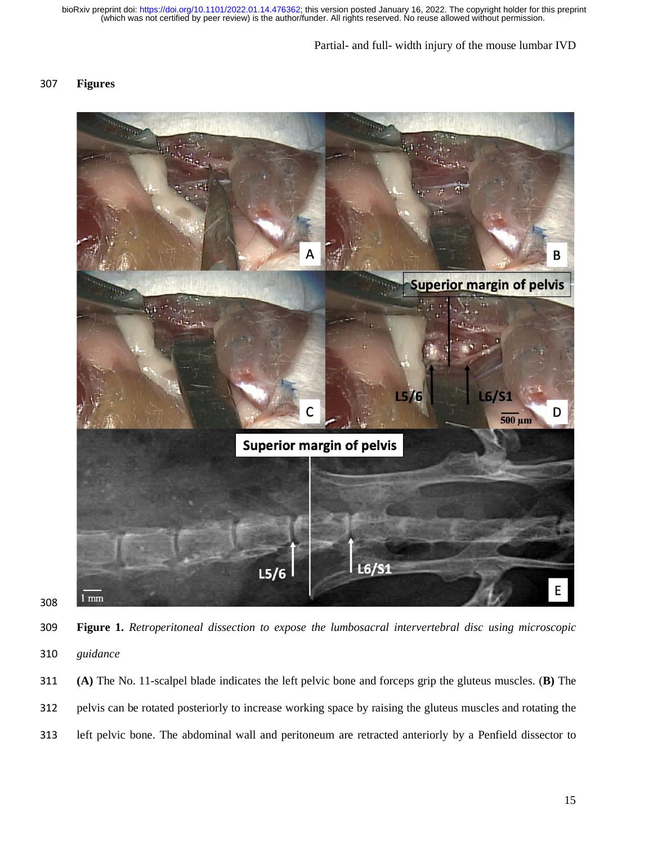# Partial- and full- width injury of the mouse lumbar IVD

# **Figures**





 **Figure 1.** *Retroperitoneal dissection to expose the lumbosacral intervertebral disc using microscopic guidance*

 **(A)** The No. 11-scalpel blade indicates the left pelvic bone and forceps grip the gluteus muscles. (**B)** The pelvis can be rotated posteriorly to increase working space by raising the gluteus muscles and rotating the left pelvic bone. The abdominal wall and peritoneum are retracted anteriorly by a Penfield dissector to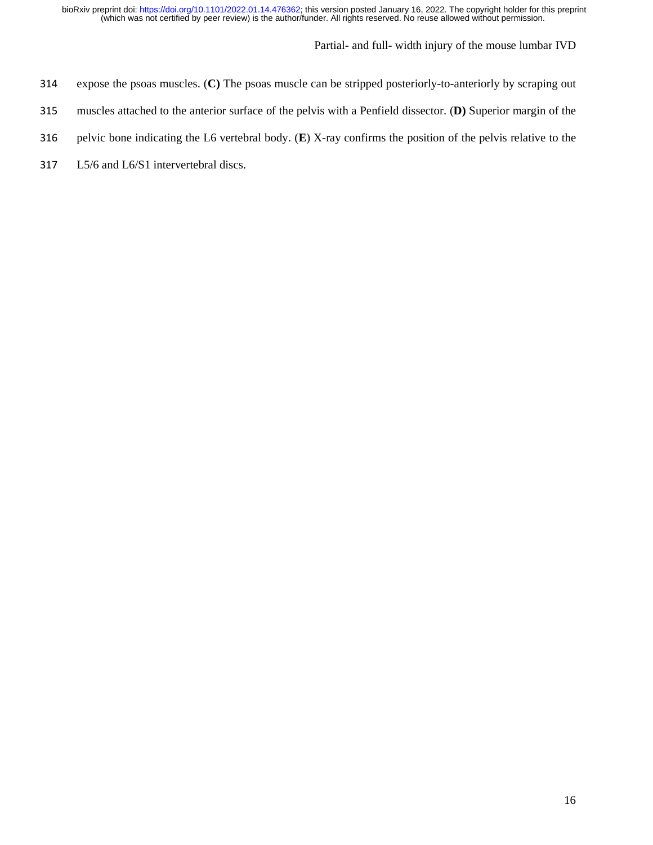- expose the psoas muscles. (**C)** The psoas muscle can be stripped posteriorly-to-anteriorly by scraping out
- muscles attached to the anterior surface of the pelvis with a Penfield dissector. (**D)** Superior margin of the
- pelvic bone indicating the L6 vertebral body. (**E**) X-ray confirms the position of the pelvis relative to the
- L5/6 and L6/S1 intervertebral discs.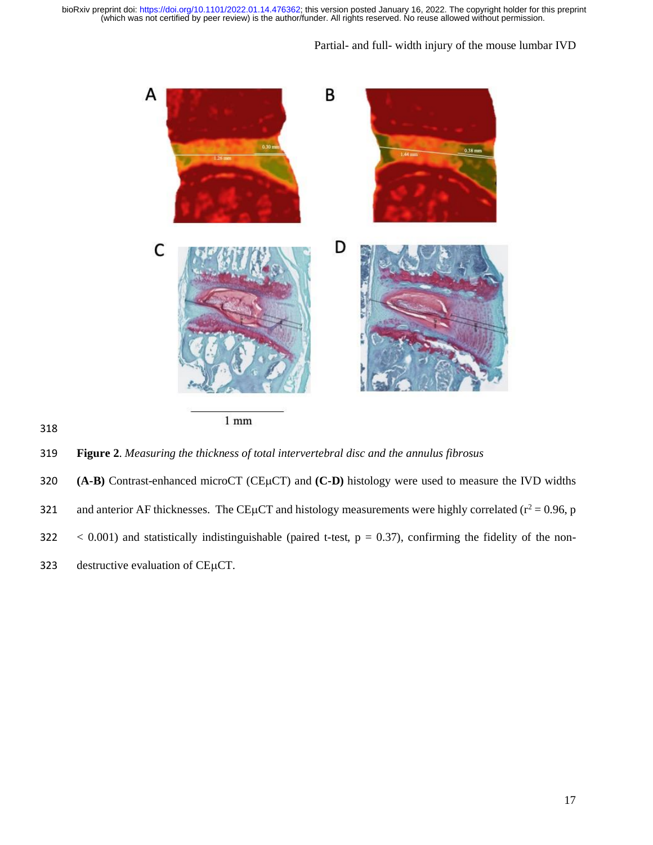# Partial- and full- width injury of the mouse lumbar IVD



318

319 **Figure 2**. *Measuring the thickness of total intervertebral disc and the annulus fibrosus*

320 **(A-B)** Contrast-enhanced microCT (CEµCT) and **(C-D)** histology were used to measure the IVD widths 321 and anterior AF thicknesses. The CE<sub>I</sub>ICT and histology measurements were highly correlated ( $r^2$  = 0.96, p  $322 \leq 0.001$ ) and statistically indistinguishable (paired t-test,  $p = 0.37$ ), confirming the fidelity of the non-323 destructive evaluation of  $CE\mu CT$ .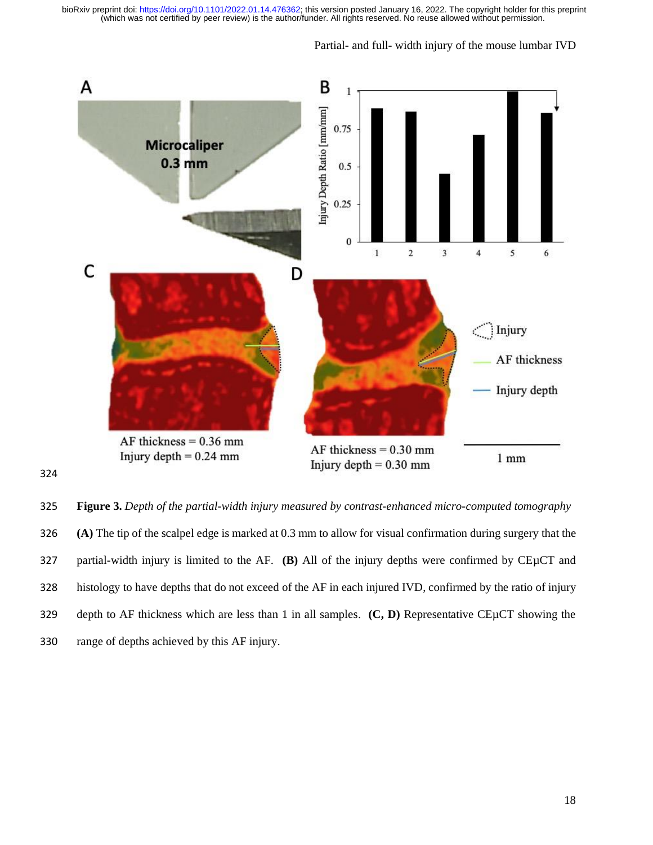

 **Figure 3.** *Depth of the partial-width injury measured by contrast-enhanced micro-computed tomography* **(A)** The tip of the scalpel edge is marked at 0.3 mm to allow for visual confirmation during surgery that the partial-width injury is limited to the AF. **(B)** All of the injury depths were confirmed by CEµCT and histology to have depths that do not exceed of the AF in each injured IVD, confirmed by the ratio of injury depth to AF thickness which are less than 1 in all samples. **(C, D)** Representative CEµCT showing the range of depths achieved by this AF injury.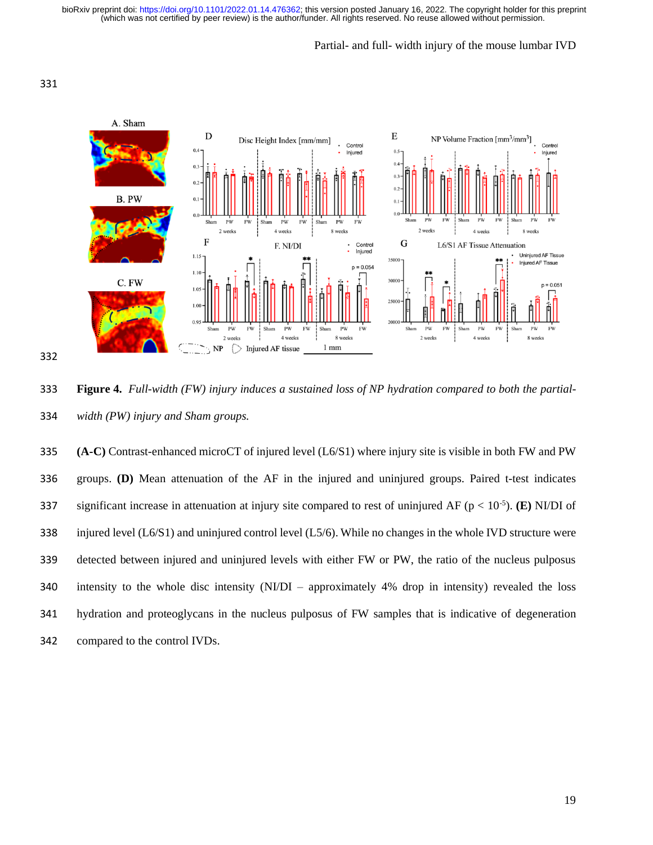## Partial- and full- width injury of the mouse lumbar IVD



 **Figure 4.** *Full-width (FW) injury induces a sustained loss of NP hydration compared to both the partial-width (PW) injury and Sham groups.*

 **(A-C)** Contrast-enhanced microCT of injured level (L6/S1) where injury site is visible in both FW and PW groups. **(D)** Mean attenuation of the AF in the injured and uninjured groups. Paired t-test indicates significant increase in attenuation at injury site compared to rest of uninjured AF ( $p < 10^{-5}$ ). (E) NI/DI of injured level (L6/S1) and uninjured control level (L5/6). While no changes in the whole IVD structure were detected between injured and uninjured levels with either FW or PW, the ratio of the nucleus pulposus intensity to the whole disc intensity (NI/DI – approximately 4% drop in intensity) revealed the loss hydration and proteoglycans in the nucleus pulposus of FW samples that is indicative of degeneration compared to the control IVDs.